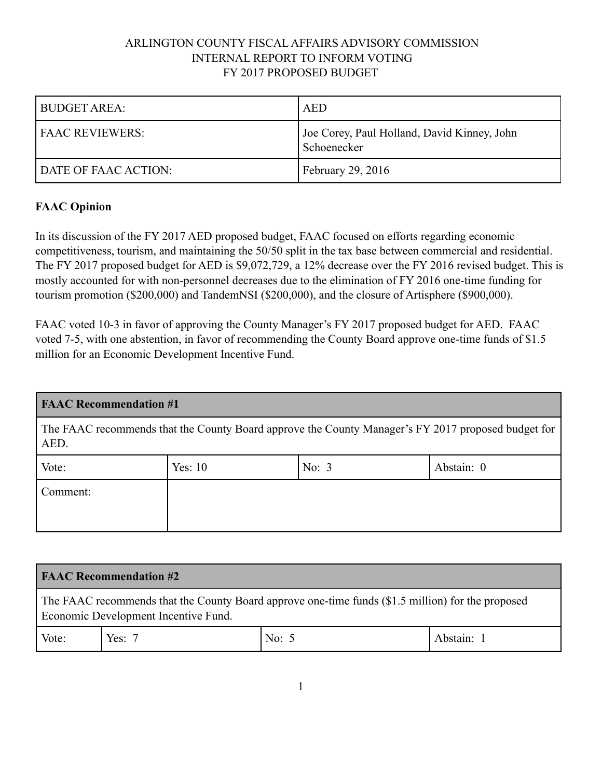## ARLINGTON COUNTY FISCAL AFFAIRS ADVISORY COMMISSION INTERNAL REPORT TO INFORM VOTING FY 2017 PROPOSED BUDGET

| BUDGET AREA:           | <b>AED</b>                                                 |
|------------------------|------------------------------------------------------------|
| <b>FAAC REVIEWERS:</b> | Joe Corey, Paul Holland, David Kinney, John<br>Schoenecker |
| DATE OF FAAC ACTION:   | February 29, 2016                                          |

## **FAAC Opinion**

In its discussion of the FY 2017 AED proposed budget, FAAC focused on efforts regarding economic competitiveness, tourism, and maintaining the 50/50 split in the tax base between commercial and residential. The FY 2017 proposed budget for AED is \$9,072,729, a 12% decrease over the FY 2016 revised budget. This is mostly accounted for with non-personnel decreases due to the elimination of FY 2016 one-time funding for tourism promotion (\$200,000) and TandemNSI (\$200,000), and the closure of Artisphere (\$900,000).

FAAC voted 10-3 in favor of approving the County Manager's FY 2017 proposed budget for AED. FAAC voted 7-5, with one abstention, in favor of recommending the County Board approve one-time funds of \$1.5 million for an Economic Development Incentive Fund.

## **FAAC Recommendation #1**

The FAAC recommends that the County Board approve the County Manager's FY 2017 proposed budget for AED.

| Vote:    | Yes: $10$ | No: $3$ | Abstain: 0 |
|----------|-----------|---------|------------|
| Comment: |           |         |            |

| <b>FAAC Recommendation #2</b>                                                                                                             |          |         |            |  |
|-------------------------------------------------------------------------------------------------------------------------------------------|----------|---------|------------|--|
| The FAAC recommends that the County Board approve one-time funds (\$1.5 million) for the proposed<br>Economic Development Incentive Fund. |          |         |            |  |
| Vote:                                                                                                                                     | Yes: $7$ | No: $5$ | Abstain: 1 |  |